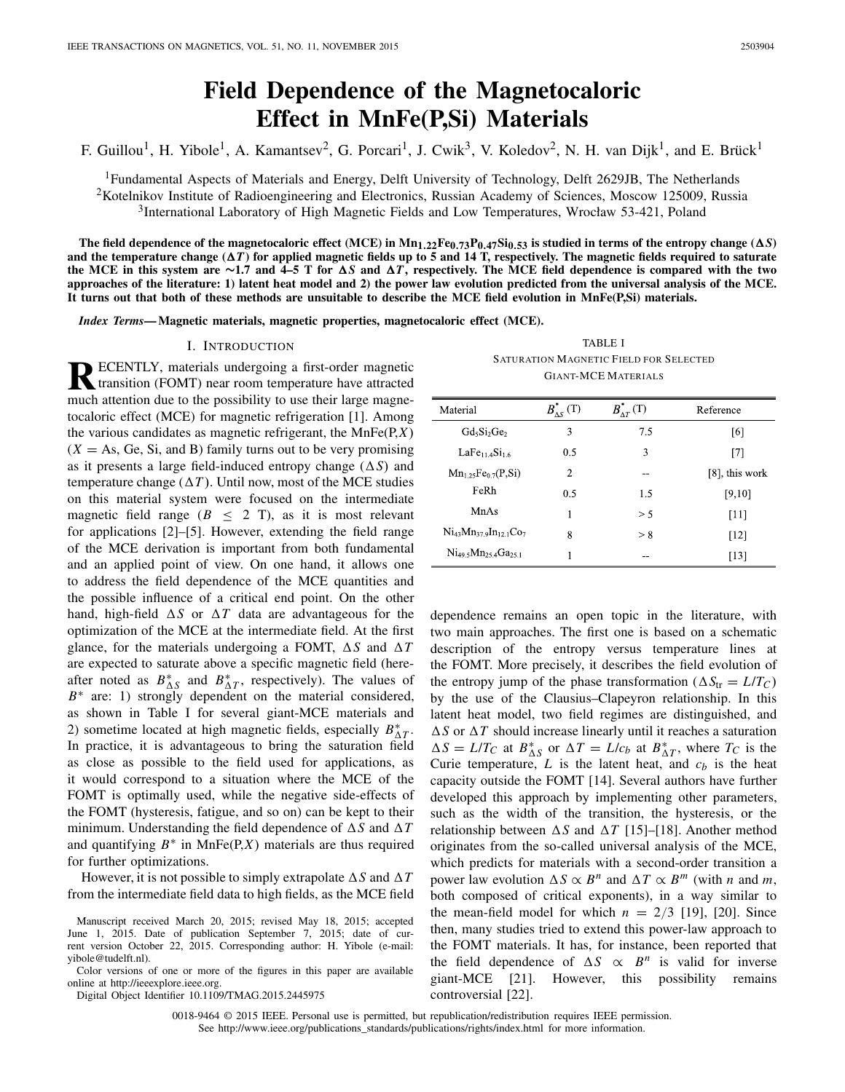# **Field Dependence of the Magnetocaloric Effect in MnFe(P,Si) Materials**

F. Guillou<sup>1</sup>, H. Yibole<sup>1</sup>, A. Kamantsev<sup>2</sup>, G. Porcari<sup>1</sup>, J. Cwik<sup>3</sup>, V. Koledov<sup>2</sup>, N. H. van Dijk<sup>1</sup>, and E. Brück<sup>1</sup>

<sup>1</sup>Fundamental Aspects of Materials and Energy, Delft University of Technology, Delft 2629JB, The Netherlands <sup>2</sup>Kotelnikov Institute of Radioengineering and Electronics, Russian Academy of Sciences, Moscow 125009, Russia 3International Laboratory of High Magnetic Fields and Low Temperatures, Wrocław 53-421, Poland

The field dependence of the magnetocaloric effect (MCE) in  $Mn_{1.22}Fe_{0.73}P_{0.47}Si_{0.53}$  is studied in terms of the entropy change ( $\Delta S$ ) and the temperature change ( $\Delta T$ ) for applied magnetic fields up to 5 and 14 T, respectively. The magnetic fields required to saturate **the MCE in this system are ∼1.7 and 4–5 T for** *-S* **and** *-T***, respectively. The MCE field dependence is compared with the two approaches of the literature: 1) latent heat model and 2) the power law evolution predicted from the universal analysis of the MCE. It turns out that both of these methods are unsuitable to describe the MCE field evolution in MnFe(P,Si) materials.**

*Index Terms***— Magnetic materials, magnetic properties, magnetocaloric effect (MCE).**

## I. INTRODUCTION

**RECENTLY**, materials undergoing a first-order magnetic transition (FOMT) near room temperature have attracted much attention due to the possibility to use their large magnetocaloric effect (MCE) for magnetic refrigeration [1]. Among the various candidates as magnetic refrigerant, the MnFe(P,*X*)  $(X = As, Ge, Si, and B)$  family turns out to be very promising as it presents a large field-induced entropy change  $(\Delta S)$  and temperature change  $(\Delta T)$ . Until now, most of the MCE studies on this material system were focused on the intermediate magnetic field range ( $B \leq 2$  T), as it is most relevant for applications [2]–[5]. However, extending the field range of the MCE derivation is important from both fundamental and an applied point of view. On one hand, it allows one to address the field dependence of the MCE quantities and the possible influence of a critical end point. On the other hand, high-field  $\Delta S$  or  $\Delta T$  data are advantageous for the optimization of the MCE at the intermediate field. At the first glance, for the materials undergoing a FOMT,  $\Delta S$  and  $\Delta T$ are expected to saturate above a specific magnetic field (hereafter noted as  $B_{\Delta S}^*$  and  $B_{\Delta T}^*$ , respectively). The values of *B*<sup>∗</sup> are: 1) strongly dependent on the material considered, as shown in Table I for several giant-MCE materials and 2) sometime located at high magnetic fields, especially  $B_{\Delta T}^*$ . In practice, it is advantageous to bring the saturation field as close as possible to the field used for applications, as it would correspond to a situation where the MCE of the FOMT is optimally used, while the negative side-effects of the FOMT (hysteresis, fatigue, and so on) can be kept to their minimum. Understanding the field dependence of  $\Delta S$  and  $\Delta T$ and quantifying  $B^*$  in MnFe(P,X) materials are thus required for further optimizations.

However, it is not possible to simply extrapolate  $\Delta S$  and  $\Delta T$ from the intermediate field data to high fields, as the MCE field

Digital Object Identifier 10.1109/TMAG.2015.2445975

TABLE I SATURATION MAGNETIC FIELD FOR SELECTED GIANT-MCE MATERIALS

| Material                               | $B_{\Lambda S}^*$ (T) | $B_{\Lambda T}^*$ (T) | Reference         |
|----------------------------------------|-----------------------|-----------------------|-------------------|
| $Gd_5Si_2Ge_2$                         | 3                     | 7.5                   | [6]               |
| LaFe <sub>11.4</sub> Si <sub>1.6</sub> | 0.5                   | 3                     | $\lceil 7 \rceil$ |
| $Mn_{1.25}Fe_{0.7}(P,Si)$              | 2                     | --                    | $[8]$ , this work |
| FeRh                                   | 0.5                   | 1.5                   | [9,10]            |
| MnAs                                   |                       | > 5                   | $[11]$            |
| $Ni_{43}Mn_{37.9}In_{12.1}Co_7$        | 8                     | > 8                   | $[12]$            |
| $Ni49.5Mn25.4Ga25.1$                   |                       |                       | $[13]$            |

dependence remains an open topic in the literature, with two main approaches. The first one is based on a schematic description of the entropy versus temperature lines at the FOMT. More precisely, it describes the field evolution of the entropy jump of the phase transformation ( $\Delta S_{tr} = L/T_C$ ) by the use of the Clausius–Clapeyron relationship. In this latent heat model, two field regimes are distinguished, and  $\Delta S$  or  $\Delta T$  should increase linearly until it reaches a saturation  $\Delta S = L/T_C$  at  $B_{\Delta S}^*$  or  $\Delta T = L/c_b$  at  $B_{\Delta T}^*$ , where  $T_C$  is the Curie temperature,  $L$  is the latent heat, and  $c<sub>b</sub>$  is the heat capacity outside the FOMT [14]. Several authors have further developed this approach by implementing other parameters, such as the width of the transition, the hysteresis, or the relationship between  $\Delta S$  and  $\Delta T$  [15]–[18]. Another method originates from the so-called universal analysis of the MCE, which predicts for materials with a second-order transition a power law evolution  $\Delta S \propto B^n$  and  $\Delta T \propto B^m$  (with *n* and *m*, both composed of critical exponents), in a way similar to the mean-field model for which  $n = 2/3$  [19], [20]. Since then, many studies tried to extend this power-law approach to the FOMT materials. It has, for instance, been reported that the field dependence of  $\Delta S \propto B^n$  is valid for inverse giant-MCE [21]. However, this possibility remains controversial [22].

0018-9464 © 2015 IEEE. Personal use is permitted, but republication/redistribution requires IEEE permission. See http://www.ieee.org/publications\_standards/publications/rights/index.html for more information.

Manuscript received March 20, 2015; revised May 18, 2015; accepted June 1, 2015. Date of publication September 7, 2015; date of current version October 22, 2015. Corresponding author: H. Yibole (e-mail: yibole@tudelft.nl).

Color versions of one or more of the figures in this paper are available online at http://ieeexplore.ieee.org.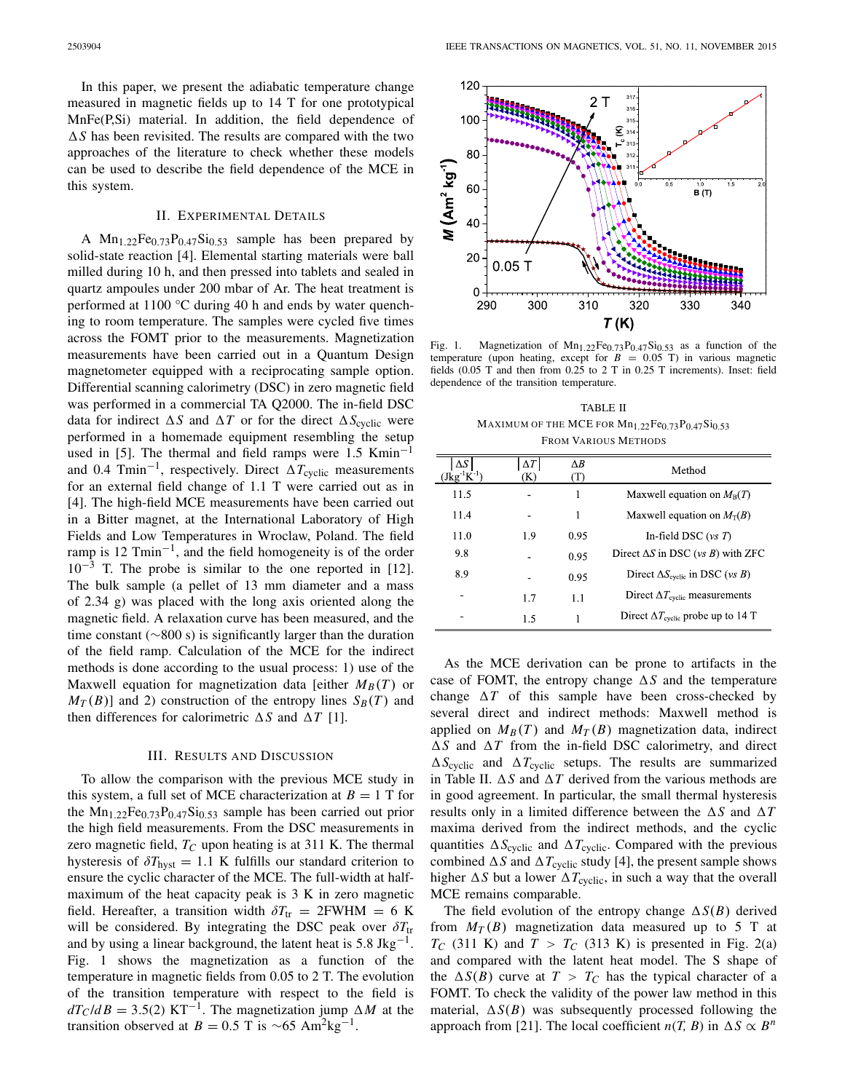In this paper, we present the adiabatic temperature change measured in magnetic fields up to 14 T for one prototypical MnFe(P,Si) material. In addition, the field dependence of  $\Delta S$  has been revisited. The results are compared with the two approaches of the literature to check whether these models can be used to describe the field dependence of the MCE in this system.

## II. EXPERIMENTAL DETAILS

A  $Mn_{1.22}Fe_{0.73}P_{0.47}Si_{0.53}$  sample has been prepared by solid-state reaction [4]. Elemental starting materials were ball milled during 10 h, and then pressed into tablets and sealed in quartz ampoules under 200 mbar of Ar. The heat treatment is performed at 1100 °C during 40 h and ends by water quenching to room temperature. The samples were cycled five times across the FOMT prior to the measurements. Magnetization measurements have been carried out in a Quantum Design magnetometer equipped with a reciprocating sample option. Differential scanning calorimetry (DSC) in zero magnetic field was performed in a commercial TA Q2000. The in-field DSC data for indirect  $\Delta S$  and  $\Delta T$  or for the direct  $\Delta S$ <sub>cyclic</sub> were performed in a homemade equipment resembling the setup used in [5]. The thermal and field ramps were 1.5 Kmin<sup>-1</sup> and 0.4 Tmin<sup>-1</sup>, respectively. Direct  $\Delta T_{\text{cyclic}}$  measurements for an external field change of 1.1 T were carried out as in [4]. The high-field MCE measurements have been carried out in a Bitter magnet, at the International Laboratory of High Fields and Low Temperatures in Wroclaw, Poland. The field ramp is 12  $Tmin^{-1}$ , and the field homogeneity is of the order  $10^{-3}$  T. The probe is similar to the one reported in [12]. The bulk sample (a pellet of 13 mm diameter and a mass of 2.34 g) was placed with the long axis oriented along the magnetic field. A relaxation curve has been measured, and the time constant (∼800 s) is significantly larger than the duration of the field ramp. Calculation of the MCE for the indirect methods is done according to the usual process: 1) use of the Maxwell equation for magnetization data [either  $M_B(T)$  or  $M_T(B)$  and 2) construction of the entropy lines  $S_B(T)$  and then differences for calorimetric  $\Delta S$  and  $\Delta T$  [1].

#### III. RESULTS AND DISCUSSION

To allow the comparison with the previous MCE study in this system, a full set of MCE characterization at  $B = 1$  T for the  $Mn_{1.22}Fe_{0.73}P_{0.47}Si_{0.53}$  sample has been carried out prior the high field measurements. From the DSC measurements in zero magnetic field,  $T_C$  upon heating is at 311 K. The thermal hysteresis of  $\delta T_{\text{hyst}} = 1.1$  K fulfills our standard criterion to ensure the cyclic character of the MCE. The full-width at halfmaximum of the heat capacity peak is 3 K in zero magnetic field. Hereafter, a transition width  $\delta T_{tr} = 2FWHM = 6 K$ will be considered. By integrating the DSC peak over  $\delta T_{tr}$ and by using a linear background, the latent heat is  $5.8 \text{ Jkg}^{-1}$ . Fig. 1 shows the magnetization as a function of the temperature in magnetic fields from 0.05 to 2 T. The evolution of the transition temperature with respect to the field is  $dT_C/dB = 3.5(2)$  KT<sup>-1</sup>. The magnetization jump  $\Delta M$  at the transition observed at *B* = 0.5 T is ~65 Am<sup>2</sup>kg<sup>-1</sup>.



Fig. 1. Magnetization of  $Mn_{1,22}Fe_{0,73}P_{0,47}Si_{0,53}$  as a function of the temperature (upon heating, except for  $B = 0.05$  T) in various magnetic fields (0.05 T and then from 0.25 to 2 T in 0.25 T increments). Inset: field dependence of the transition temperature.

TABLE II MAXIMUM OF THE MCE FOR  $Mn_{1.22}Fe_{0.73}P_{0.47}Si_{0.53}$ FROM VARIOUS METHODS

| $\Delta S$<br>$(Jkg^{-1}K^{-1})$ | $\Delta T$<br>(K) | ΛB<br>(T) | Method                                             |
|----------------------------------|-------------------|-----------|----------------------------------------------------|
| 11.5                             |                   | 1         | Maxwell equation on $M_B(T)$                       |
| 11.4                             |                   | 1         | Maxwell equation on $M_T(B)$                       |
| 11.0                             | 1.9               | 0.95      | In-field DSC $(vs T)$                              |
| 9.8                              |                   | 0.95      | Direct $\Delta S$ in DSC (vs B) with ZFC           |
| 8.9                              |                   | 0.95      | Direct $\Delta S_{\text{cyclic}}$ in DSC (vs B)    |
|                                  | 1.7               | 1.1       | Direct $\Delta T_{\text{cyclic}}$ measurements     |
|                                  | 1.5               |           | Direct $\Delta T_{\text{cyclic}}$ probe up to 14 T |

As the MCE derivation can be prone to artifacts in the case of FOMT, the entropy change  $\Delta S$  and the temperature change  $\Delta T$  of this sample have been cross-checked by several direct and indirect methods: Maxwell method is applied on  $M_B(T)$  and  $M_T(B)$  magnetization data, indirect  $\Delta S$  and  $\Delta T$  from the in-field DSC calorimetry, and direct  $\Delta S_{\text{cyclic}}$  and  $\Delta T_{\text{cyclic}}$  setups. The results are summarized in Table II.  $\Delta S$  and  $\Delta T$  derived from the various methods are in good agreement. In particular, the small thermal hysteresis results only in a limited difference between the  $\Delta S$  and  $\Delta T$ maxima derived from the indirect methods, and the cyclic quantities  $\Delta S_{\text{cyclic}}$  and  $\Delta T_{\text{cyclic}}$ . Compared with the previous combined  $\Delta S$  and  $\Delta T_{\text{cyclic}}$  study [4], the present sample shows higher  $\Delta S$  but a lower  $\Delta T_{\text{cyclic}}$ , in such a way that the overall MCE remains comparable.

The field evolution of the entropy change  $\Delta S(B)$  derived from  $M_T(B)$  magnetization data measured up to 5 T at  $T_C$  (311 K) and  $T > T_C$  (313 K) is presented in Fig. 2(a) and compared with the latent heat model. The S shape of the  $\Delta S(B)$  curve at  $T > T_C$  has the typical character of a FOMT. To check the validity of the power law method in this material,  $\Delta S(B)$  was subsequently processed following the approach from [21]. The local coefficient  $n(T, B)$  in  $\Delta S \propto B^n$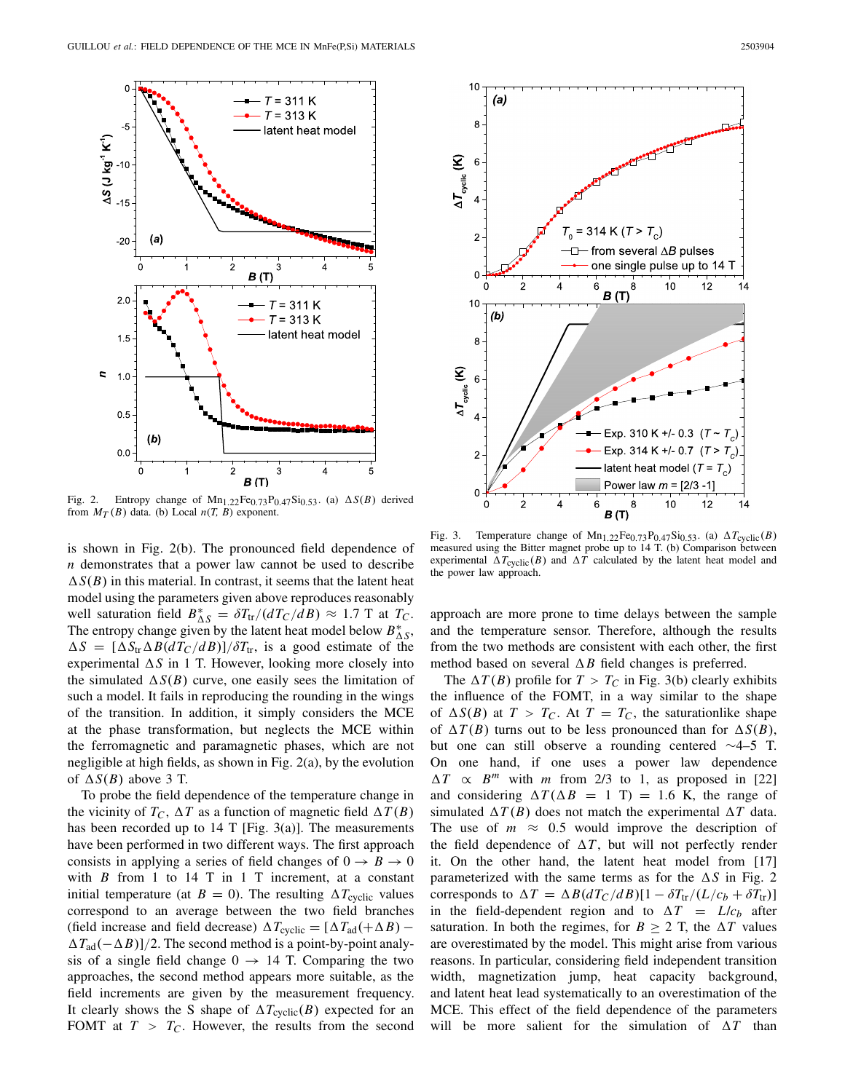

Fig. 2. Entropy change of  $Mn_{1.22}Fe_{0.73}P_{0.47}Si_{0.53}$ . (a)  $\Delta S(B)$  derived from  $M_T(B)$  data. (b) Local  $n(T, B)$  exponent.

is shown in Fig. 2(b). The pronounced field dependence of *n* demonstrates that a power law cannot be used to describe  $\Delta S(B)$  in this material. In contrast, it seems that the latent heat model using the parameters given above reproduces reasonably well saturation field  $B_{\Delta S}^* = \delta T_{tr}/(dT_C/dB) \approx 1.7 \text{ T}$  at  $T_C$ . The entropy change given by the latent heat model below  $B_{\Delta S}^*$ ,  $\Delta S = [\Delta S_{tr} \Delta B (dT_C/dB)]/\delta T_{tr}$ , is a good estimate of the experimental  $\Delta S$  in 1 T. However, looking more closely into the simulated  $\Delta S(B)$  curve, one easily sees the limitation of such a model. It fails in reproducing the rounding in the wings of the transition. In addition, it simply considers the MCE at the phase transformation, but neglects the MCE within the ferromagnetic and paramagnetic phases, which are not negligible at high fields, as shown in Fig. 2(a), by the evolution of  $\Delta S(B)$  above 3 T.

To probe the field dependence of the temperature change in the vicinity of  $T_C$ ,  $\Delta T$  as a function of magnetic field  $\Delta T(B)$ has been recorded up to 14 T [Fig. 3(a)]. The measurements have been performed in two different ways. The first approach consists in applying a series of field changes of  $0 \rightarrow B \rightarrow 0$ with  $B$  from 1 to 14 T in 1 T increment, at a constant initial temperature (at  $B = 0$ ). The resulting  $\Delta T_{\text{cyclic}}$  values correspond to an average between the two field branches (field increase and field decrease)  $\Delta T_{\text{cyclic}} = [\Delta T_{\text{ad}}(+\Delta B) \Delta T_{\text{ad}}(-\Delta B)/2$ . The second method is a point-by-point analysis of a single field change  $0 \rightarrow 14$  T. Comparing the two approaches, the second method appears more suitable, as the field increments are given by the measurement frequency. It clearly shows the S shape of  $\Delta T_{\text{cyclic}}(B)$  expected for an FOMT at  $T > T_C$ . However, the results from the second





Fig. 3. Temperature change of  $Mn_{1.22}Fe_{0.73}P_{0.47}Si_{0.53}$ . (a)  $\Delta T_{\text{cyclic}}(B)$ measured using the Bitter magnet probe up to 14 T. (b) Comparison between experimental  $\Delta T_{\text{cyclic}}(B)$  and  $\Delta T$  calculated by the latent heat model and the power law approach.

approach are more prone to time delays between the sample and the temperature sensor. Therefore, although the results from the two methods are consistent with each other, the first method based on several  $\Delta B$  field changes is preferred.

The  $\Delta T(B)$  profile for  $T > T_C$  in Fig. 3(b) clearly exhibits the influence of the FOMT, in a way similar to the shape of  $\Delta S(B)$  at  $T > T_C$ . At  $T = T_C$ , the saturationlike shape of  $\Delta T(B)$  turns out to be less pronounced than for  $\Delta S(B)$ , but one can still observe a rounding centered ∼4–5 T. On one hand, if one uses a power law dependence  $\Delta T$  $\propto$  *B<sup>m</sup>* with *m* from 2/3 to 1, as proposed in [22] and considering  $\Delta T(\Delta B = 1 \text{ T}) = 1.6 \text{ K}$ , the range of simulated  $\Delta T(B)$  does not match the experimental  $\Delta T$  data. The use of  $m \approx 0.5$  would improve the description of the field dependence of  $\Delta T$ , but will not perfectly render it. On the other hand, the latent heat model from [17] parameterized with the same terms as for the  $\Delta S$  in Fig. 2 corresponds to  $\Delta T = \Delta B (dT_C/dB)[1 - \delta T_{tr}/(L/c_b + \delta T_{tr})]$ in the field-dependent region and to  $\Delta T = L/c_b$  after saturation. In both the regimes, for  $B \ge 2$  T, the  $\Delta T$  values are overestimated by the model. This might arise from various reasons. In particular, considering field independent transition width, magnetization jump, heat capacity background, and latent heat lead systematically to an overestimation of the MCE. This effect of the field dependence of the parameters will be more salient for the simulation of  $\Delta T$  than